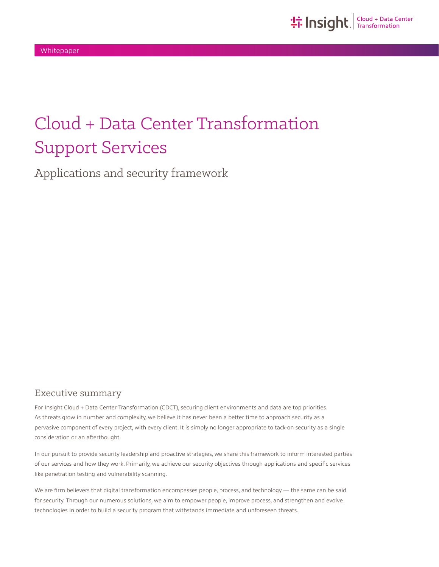# Cloud + Data Center Transformation Support Services

Applications and security framework

## Executive summary

For Insight Cloud + Data Center Transformation (CDCT), securing client environments and data are top priorities. As threats grow in number and complexity, we believe it has never been a better time to approach security as a pervasive component of every project, with every client. It is simply no longer appropriate to tack-on security as a single consideration or an afterthought.

In our pursuit to provide security leadership and proactive strategies, we share this framework to inform interested parties of our services and how they work. Primarily, we achieve our security objectives through applications and specific services like penetration testing and vulnerability scanning.

We are firm believers that digital transformation encompasses people, process, and technology — the same can be said for security. Through our numerous solutions, we aim to empower people, improve process, and strengthen and evolve technologies in order to build a security program that withstands immediate and unforeseen threats.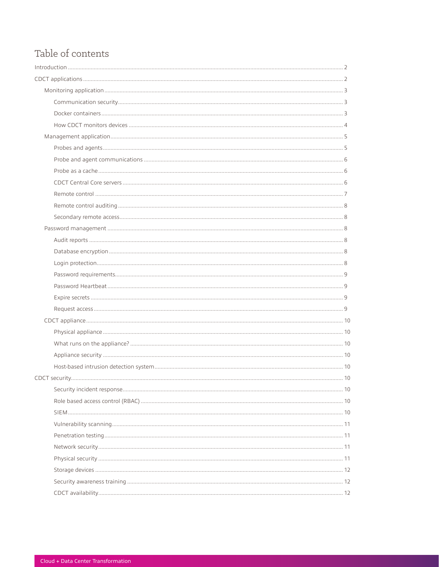## Table of contents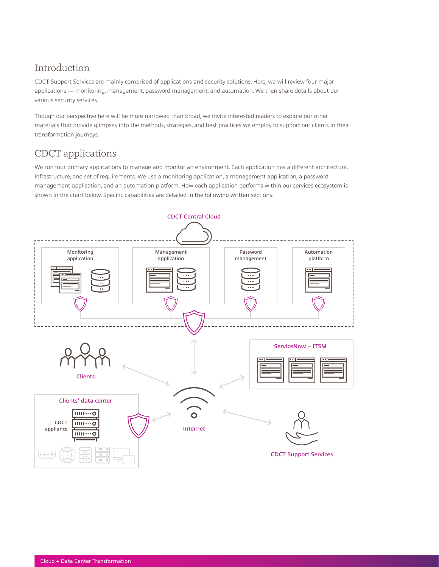## <span id="page-2-0"></span>Introduction

CDCT Support Services are mainly comprised of applications and security solutions. Here, we will review four major applications — monitoring, management, password management, and automation. We then share details about our various security services.

Though our perspective here will be more narrowed than broad, we invite interested readers to explore our other materials that provide glimpses into the methods, strategies, and best practices we employ to support our clients in their transformation journeys.

## CDCT applications

We run four primary applications to manage and monitor an environment. Each application has a different architecture, infrastructure, and set of requirements. We use a monitoring application, a management application, a password management application, and an automation platform. How each application performs within our services ecosystem is shown in the chart below. Specific capabilities are detailed in the following written sections.

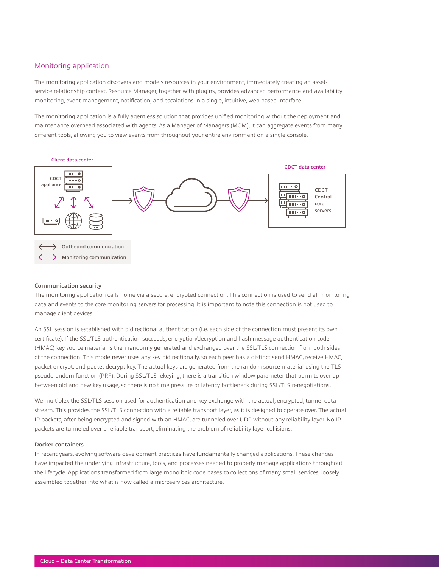### <span id="page-3-0"></span>Monitoring application

The monitoring application discovers and models resources in your environment, immediately creating an assetservice relationship context. Resource Manager, together with plugins, provides advanced performance and availability monitoring, event management, notification, and escalations in a single, intuitive, web-based interface.

The monitoring application is a fully agentless solution that provides unified monitoring without the deployment and maintenance overhead associated with agents. As a Manager of Managers (MOM), it can aggregate events from many different tools, allowing you to view events from throughout your entire environment on a single console.



#### Communication security

The monitoring application calls home via a secure, encrypted connection. This connection is used to send all monitoring data and events to the core monitoring servers for processing. It is important to note this connection is not used to manage client devices.

An SSL session is established with bidirectional authentication (i.e. each side of the connection must present its own certificate). If the SSL/TLS authentication succeeds, encryption/decryption and hash message authentication code (HMAC) key source material is then randomly generated and exchanged over the SSL/TLS connection from both sides of the connection. This mode never uses any key bidirectionally, so each peer has a distinct send HMAC, receive HMAC, packet encrypt, and packet decrypt key. The actual keys are generated from the random source material using the TLS pseudorandom function (PRF). During SSL/TLS rekeying, there is a transition-window parameter that permits overlap between old and new key usage, so there is no time pressure or latency bottleneck during SSL/TLS renegotiations.

We multiplex the SSL/TLS session used for authentication and key exchange with the actual, encrypted, tunnel data stream. This provides the SSL/TLS connection with a reliable transport layer, as it is designed to operate over. The actual IP packets, after being encrypted and signed with an HMAC, are tunneled over UDP without any reliability layer. No IP packets are tunneled over a reliable transport, eliminating the problem of reliability-layer collisions.

#### Docker containers

In recent years, evolving software development practices have fundamentally changed applications. These changes have impacted the underlying infrastructure, tools, and processes needed to properly manage applications throughout the lifecycle. Applications transformed from large monolithic code bases to collections of many small services, loosely assembled together into what is now called a microservices architecture.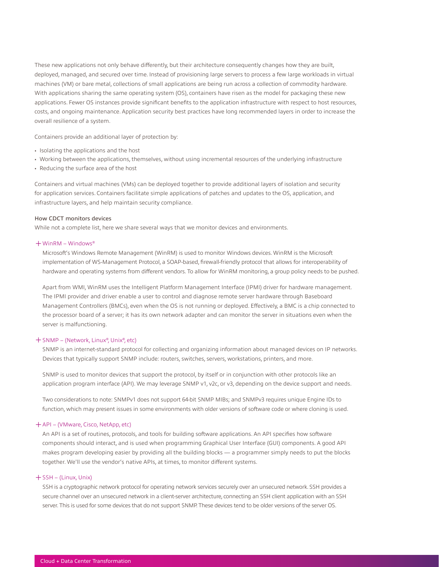<span id="page-4-0"></span>These new applications not only behave differently, but their architecture consequently changes how they are built, deployed, managed, and secured over time. Instead of provisioning large servers to process a few large workloads in virtual machines (VM) or bare metal, collections of small applications are being run across a collection of commodity hardware. With applications sharing the same operating system (OS), containers have risen as the model for packaging these new applications. Fewer OS instances provide significant benefits to the application infrastructure with respect to host resources, costs, and ongoing maintenance. Application security best practices have long recommended layers in order to increase the overall resilience of a system.

Containers provide an additional layer of protection by:

- Isolating the applications and the host
- Working between the applications, themselves, without using incremental resources of the underlying infrastructure
- Reducing the surface area of the host

Containers and virtual machines (VMs) can be deployed together to provide additional layers of isolation and security for application services. Containers facilitate simple applications of patches and updates to the OS, application, and infrastructure layers, and help maintain security compliance.

#### How CDCT monitors devices

While not a complete list, here we share several ways that we monitor devices and environments.

#### ͓WinRM – Windows®

Microsoft's Windows Remote Management (WinRM) is used to monitor Windows devices. WinRM is the Microsoft implementation of WS-Management Protocol, a SOAP-based, firewall-friendly protocol that allows for interoperability of hardware and operating systems from different vendors. To allow for WinRM monitoring, a group policy needs to be pushed.

Apart from WMI, WinRM uses the Intelligent Platform Management Interface (IPMI) driver for hardware management. The IPMI provider and driver enable a user to control and diagnose remote server hardware through Baseboard Management Controllers (BMCs), even when the OS is not running or deployed. Effectively, a BMC is a chip connected to the processor board of a server; it has its own network adapter and can monitor the server in situations even when the server is malfunctioning.

## + SNMP – (Network, Linux®, Unix®, etc)

SNMP is an internet-standard protocol for collecting and organizing information about managed devices on IP networks. Devices that typically support SNMP include: routers, switches, servers, workstations, printers, and more.

SNMP is used to monitor devices that support the protocol, by itself or in conjunction with other protocols like an application program interface (API). We may leverage SNMP v1, v2c, or v3, depending on the device support and needs.

Two considerations to note: SNMPv1 does not support 64-bit SNMP MIBs; and SNMPv3 requires unique Engine IDs to function, which may present issues in some environments with older versions of software code or where cloning is used.

#### ͓API – (VMware, Cisco, NetApp, etc)

An API is a set of routines, protocols, and tools for building software applications. An API specifies how software components should interact, and is used when programming Graphical User Interface (GUI) components. A good API makes program developing easier by providing all the building blocks — a programmer simply needs to put the blocks together. We'll use the vendor's native APIs, at times, to monitor different systems.

#### $+$  SSH – (Linux, Unix)

SSH is a cryptographic network protocol for operating network services securely over an unsecured network. SSH provides a secure channel over an unsecured network in a client-server architecture, connecting an SSH client application with an SSH server. This is used for some devices that do not support SNMP. These devices tend to be older versions of the server OS.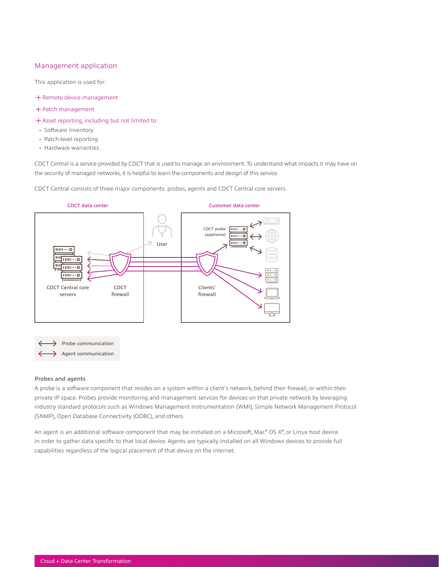### <span id="page-5-0"></span>Management application

This application is used for:

- + Remote device management
- ͓Patch management
- ͓Asset reporting, including but not limited to:
- Software inventory
- Patch-level reporting
- Hardware warranties

CDCT Central is a service provided by CDCT that is used to manage an environment. To understand what impacts it may have on the security of managed networks, it is helpful to learn the components and design of this service.

CDCT Central consists of three major components: probes, agents and CDCT Central core servers.



#### Probes and agents

A probe is a software component that resides on a system within a client's network, behind their firewall, or within their private IP space. Probes provide monitoring and management services for devices on that private network by leveraging industry standard protocols such as Windows Management Instrumentation (WMI), Simple Network Management Protocol (SNMP), Open Database Connectivity (ODBC), and others.

An agent is an additional software component that may be installed on a Microsoft, Mac® OS X® , or Linux host device in order to gather data specific to that local device. Agents are typically installed on all Windows devices to provide full capabilities regardless of the logical placement of that device on the internet.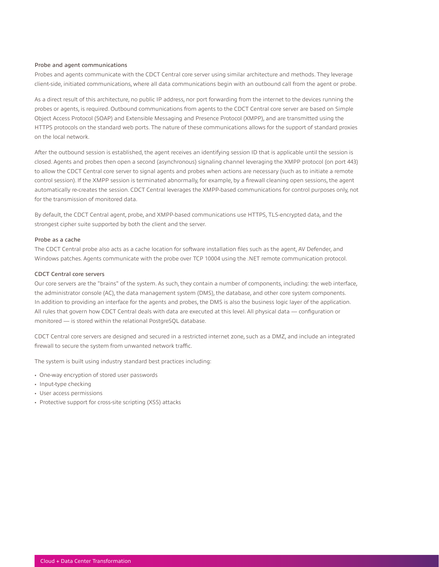#### <span id="page-6-0"></span>Probe and agent communications

Probes and agents communicate with the CDCT Central core server using similar architecture and methods. They leverage client-side, initiated communications, where all data communications begin with an outbound call from the agent or probe.

As a direct result of this architecture, no public IP address, nor port forwarding from the internet to the devices running the probes or agents, is required. Outbound communications from agents to the CDCT Central core server are based on Simple Object Access Protocol (SOAP) and Extensible Messaging and Presence Protocol (XMPP), and are transmitted using the HTTPS protocols on the standard web ports. The nature of these communications allows for the support of standard proxies on the local network.

After the outbound session is established, the agent receives an identifying session ID that is applicable until the session is closed. Agents and probes then open a second (asynchronous) signaling channel leveraging the XMPP protocol (on port 443) to allow the CDCT Central core server to signal agents and probes when actions are necessary (such as to initiate a remote control session). If the XMPP session is terminated abnormally, for example, by a firewall cleaning open sessions, the agent automatically re-creates the session. CDCT Central leverages the XMPP-based communications for control purposes only, not for the transmission of monitored data.

By default, the CDCT Central agent, probe, and XMPP-based communications use HTTPS, TLS-encrypted data, and the strongest cipher suite supported by both the client and the server.

#### Probe as a cache

The CDCT Central probe also acts as a cache location for software installation files such as the agent, AV Defender, and Windows patches. Agents communicate with the probe over TCP 10004 using the .NET remote communication protocol.

#### CDCT Central core servers

Our core servers are the "brains" of the system. As such, they contain a number of components, including: the web interface, the administrator console (AC), the data management system (DMS), the database, and other core system components. In addition to providing an interface for the agents and probes, the DMS is also the business logic layer of the application. All rules that govern how CDCT Central deals with data are executed at this level. All physical data — configuration or monitored — is stored within the relational PostgreSQL database.

CDCT Central core servers are designed and secured in a restricted internet zone, such as a DMZ, and include an integrated firewall to secure the system from unwanted network traffic.

The system is built using industry standard best practices including:

- One-way encryption of stored user passwords
- Input-type checking
- User access permissions
- Protective support for cross-site scripting (XSS) attacks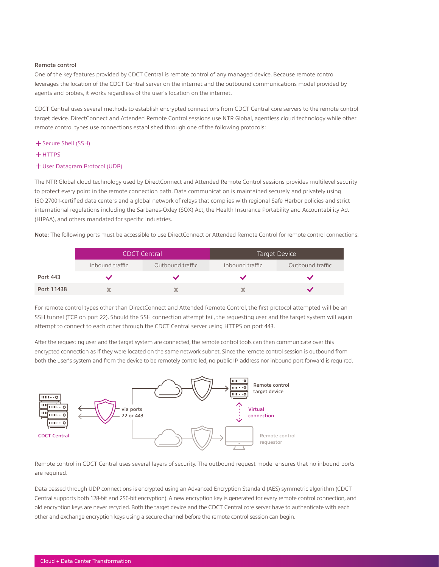#### <span id="page-7-0"></span>Remote control

One of the key features provided by CDCT Central is remote control of any managed device. Because remote control leverages the location of the CDCT Central server on the internet and the outbound communications model provided by agents and probes, it works regardless of the user's location on the internet.

CDCT Central uses several methods to establish encrypted connections from CDCT Central core servers to the remote control target device. DirectConnect and Attended Remote Control sessions use NTR Global, agentless cloud technology while other remote control types use connections established through one of the following protocols:

- ͓Secure Shell (SSH)
- $+$ HTTPS
- ͓User Datagram Protocol (UDP)

The NTR Global cloud technology used by DirectConnect and Attended Remote Control sessions provides multilevel security to protect every point in the remote connection path. Data communication is maintained securely and privately using ISO 27001-certified data centers and a global network of relays that complies with regional Safe Harbor policies and strict international regulations including the Sarbanes-Oxley (SOX) Act, the Health Insurance Portability and Accountability Act (HIPAA), and others mandated for specific industries.

Note: The following ports must be accessible to use DirectConnect or Attended Remote Control for remote control connections:

|            | <b>CDCT Central</b> |                  | Target Device   |                  |
|------------|---------------------|------------------|-----------------|------------------|
|            | Inbound traffic     | Outbound traffic | Inbound traffic | Outbound traffic |
| Port 443   |                     |                  |                 |                  |
| Port 11438 |                     |                  |                 |                  |

For remote control types other than DirectConnect and Attended Remote Control, the first protocol attempted will be an SSH tunnel (TCP on port 22). Should the SSH connection attempt fail, the requesting user and the target system will again attempt to connect to each other through the CDCT Central server using HTTPS on port 443.

After the requesting user and the target system are connected, the remote control tools can then communicate over this encrypted connection as if they were located on the same network subnet. Since the remote control session is outbound from both the user's system and from the device to be remotely controlled, no public IP address nor inbound port forward is required.



Remote control in CDCT Central uses several layers of security. The outbound request model ensures that no inbound ports are required.

Data passed through UDP connections is encrypted using an Advanced Encryption Standard (AES) symmetric algorithm (CDCT Central supports both 128-bit and 256-bit encryption). A new encryption key is generated for every remote control connection, and old encryption keys are never recycled. Both the target device and the CDCT Central core server have to authenticate with each other and exchange encryption keys using a secure channel before the remote control session can begin.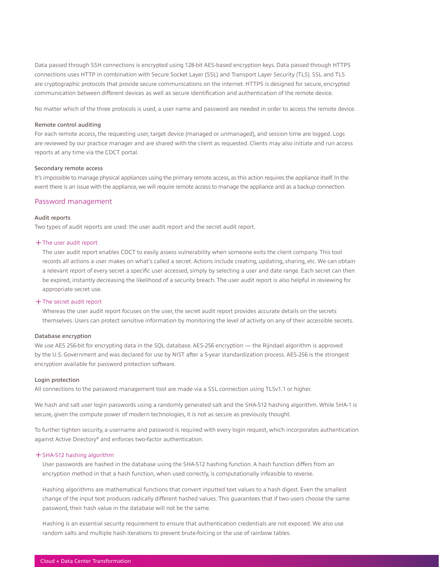<span id="page-8-0"></span>Data passed through SSH connections is encrypted using 128-bit AES-based encryption keys. Data passed through HTTPS connections uses HTTP in combination with Secure Socket Layer (SSL) and Transport Layer Security (TLS). SSL and TLS are cryptographic protocols that provide secure communications on the internet. HTTPS is designed for secure, encrypted communication between different devices as well as secure identification and authentication of the remote device.

No matter which of the three protocols is used, a user name and password are needed in order to access the remote device.

#### Remote control auditing

For each remote access, the requesting user, target device (managed or unmanaged), and session time are logged. Logs are reviewed by our practice manager and are shared with the client as requested. Clients may also initiate and run access reports at any time via the CDCT portal.

#### Secondary remote access

It's impossible to manage physical appliances using the primary remote access, as this action requires the appliance itself. In the event there is an issue with the appliance, we will require remote access to manage the appliance and as a backup connection.

#### Password management

#### Audit reports

Two types of audit reports are used: the user audit report and the secret audit report.

#### ͓The user audit report

The user audit report enables CDCT to easily assess vulnerability when someone exits the client company. This tool records all actions a user makes on what's called a secret. Actions include creating, updating, sharing, etc. We can obtain a relevant report of every secret a specific user accessed, simply by selecting a user and date range. Each secret can then be expired, instantly decreasing the likelihood of a security breach. The user audit report is also helpful in reviewing for appropriate secret use.

#### ͓The secret audit report

Whereas the user audit report focuses on the user, the secret audit report provides accurate details on the secrets themselves. Users can protect sensitive information by monitoring the level of activity on any of their accessible secrets.

#### Database encryption

We use AES 256-bit for encrypting data in the SQL database. AES-256 encryption — the Rijndael algorithm is approved by the U.S. Government and was declared for use by NIST after a 5-year standardization process. AES-256 is the strongest encryption available for password protection software.

#### Login protection

All connections to the password management tool are made via a SSL connection using TLSv1.1 or higher.

We hash and salt user login passwords using a randomly generated salt and the SHA-512 hashing algorithm. While SHA-1 is secure, given the compute power of modern technologies, it is not as secure as previously thought.

To further tighten security, a username and password is required with every login request, which incorporates authentication against Active Directory® and enforces two-factor authentication.

#### ͓SHA-512 hashing algorithm

User passwords are hashed in the database using the SHA-512 hashing function. A hash function differs from an encryption method in that a hash function, when used correctly, is computationally infeasible to reverse.

Hashing algorithms are mathematical functions that convert inputted text values to a hash digest. Even the smallest change of the input text produces radically different hashed values. This guarantees that if two users choose the same password, their hash value in the database will not be the same.

Hashing is an essential security requirement to ensure that authentication credentials are not exposed. We also use random salts and multiple hash iterations to prevent brute-forcing or the use of rainbow tables.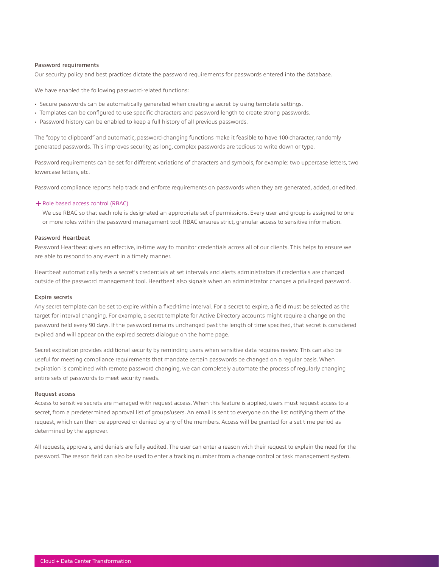#### <span id="page-9-0"></span>Password requirements

Our security policy and best practices dictate the password requirements for passwords entered into the database.

We have enabled the following password-related functions:

- Secure passwords can be automatically generated when creating a secret by using template settings.
- Templates can be configured to use specific characters and password length to create strong passwords.
- Password history can be enabled to keep a full history of all previous passwords.

The "copy to clipboard" and automatic, password-changing functions make it feasible to have 100-character, randomly generated passwords. This improves security, as long, complex passwords are tedious to write down or type.

Password requirements can be set for different variations of characters and symbols, for example: two uppercase letters, two lowercase letters, etc.

Password compliance reports help track and enforce requirements on passwords when they are generated, added, or edited.

#### ͓Role based access control (RBAC)

We use RBAC so that each role is designated an appropriate set of permissions. Every user and group is assigned to one or more roles within the password management tool. RBAC ensures strict, granular access to sensitive information.

#### Password Heartbeat

Password Heartbeat gives an effective, in-time way to monitor credentials across all of our clients. This helps to ensure we are able to respond to any event in a timely manner.

Heartbeat automatically tests a secret's credentials at set intervals and alerts administrators if credentials are changed outside of the password management tool. Heartbeat also signals when an administrator changes a privileged password.

#### Expire secrets

Any secret template can be set to expire within a fixed-time interval. For a secret to expire, a field must be selected as the target for interval changing. For example, a secret template for Active Directory accounts might require a change on the password field every 90 days. If the password remains unchanged past the length of time specified, that secret is considered expired and will appear on the expired secrets dialogue on the home page.

Secret expiration provides additional security by reminding users when sensitive data requires review. This can also be useful for meeting compliance requirements that mandate certain passwords be changed on a regular basis. When expiration is combined with remote password changing, we can completely automate the process of regularly changing entire sets of passwords to meet security needs.

#### Request access

Access to sensitive secrets are managed with request access. When this feature is applied, users must request access to a secret, from a predetermined approval list of groups/users. An email is sent to everyone on the list notifying them of the request, which can then be approved or denied by any of the members. Access will be granted for a set time period as determined by the approver.

All requests, approvals, and denials are fully audited. The user can enter a reason with their request to explain the need for the password. The reason field can also be used to enter a tracking number from a change control or task management system.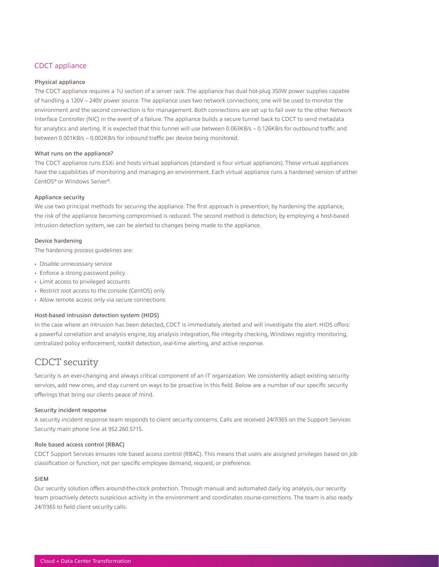## <span id="page-10-0"></span>CDCT appliance

#### Physical appliance

The CDCT appliance requires a 1U section of a server rack. The appliance has dual hot-plug 350W power supplies capable of handling a 120V – 240V power source. The appliance uses two network connections; one will be used to monitor the environment and the second connection is for management. Both connections are set up to fail over to the other Network Interface Controller (NIC) in the event of a failure. The appliance builds a secure tunnel back to CDCT to send metadata for analytics and alerting. It is expected that this tunnel will use between 0.063KB/s – 0.126KB/s for outbound traffic and between 0.001KB/s – 0.002KB/s for inbound traffic per device being monitored.

#### What runs on the appliance?

The CDCT appliance runs ESXi and hosts virtual appliances (standard is four virtual appliances). These virtual appliances have the capabilities of monitoring and managing an environment. Each virtual appliance runs a hardened version of either CentOS® or Windows Server® .

### Appliance security

We use two principal methods for securing the appliance. The first approach is prevention; by hardening the appliance, the risk of the appliance becoming compromised is reduced. The second method is detection; by employing a host-based intrusion detection system, we can be alerted to changes being made to the appliance.

#### Device hardening

The hardening process guidelines are:

- Disable unnecessary service
- Enforce a strong password policy
- Limit access to privileged accounts
- Restrict root access to the console (CentOS) only
- Allow remote access only via secure connections

#### Host-based intrusion detection system (HIDS)

In the case where an intrusion has been detected, CDCT is immediately alerted and will investigate the alert. HIDS offers: a powerful correlation and analysis engine, log analysis integration, file integrity checking, Windows registry monitoring, centralized policy enforcement, rootkit detection, real-time alerting, and active response.

## CDCT security

Security is an ever-changing and always critical component of an IT organization. We consistently adapt existing security services, add new ones, and stay current on ways to be proactive in this field. Below are a number of our specific security offerings that bring our clients peace of mind.

#### Security incident response

A security incident response team responds to client security concerns. Calls are received 24/7/365 on the Support Services Security main phone line at 952.260.5715.

#### Role based access control (RBAC)

CDCT Support Services ensures role based access control (RBAC). This means that users are assigned privileges based on job classification or function, not per specific employee demand, request, or preference.

#### SIEM

Our security solution offers around-the-clock protection. Through manual and automated daily log analysis, our security team proactively detects suspicious activity in the environment and coordinates course-corrections. The team is also ready 24/7/365 to field client security calls.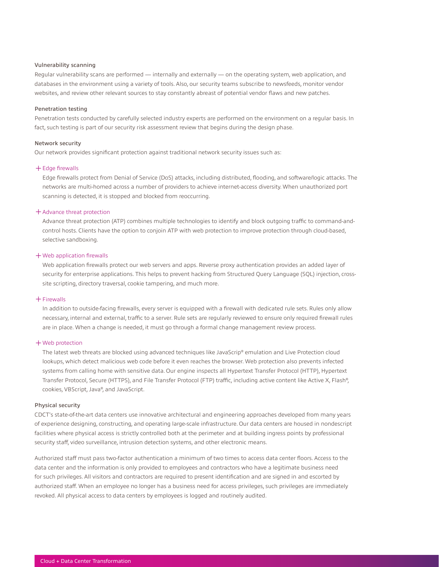#### <span id="page-11-0"></span>Vulnerability scanning

Regular vulnerability scans are performed — internally and externally — on the operating system, web application, and databases in the environment using a variety of tools. Also, our security teams subscribe to newsfeeds, monitor vendor websites, and review other relevant sources to stay constantly abreast of potential vendor flaws and new patches.

#### Penetration testing

Penetration tests conducted by carefully selected industry experts are performed on the environment on a regular basis. In fact, such testing is part of our security risk assessment review that begins during the design phase.

#### Network security

Our network provides significant protection against traditional network security issues such as:

#### ͓Edge firewalls

Edge firewalls protect from Denial of Service (DoS) attacks, including distributed, flooding, and software/logic attacks. The networks are multi-homed across a number of providers to achieve internet-access diversity. When unauthorized port scanning is detected, it is stopped and blocked from reoccurring.

#### + Advance threat protection

Advance threat protection (ATP) combines multiple technologies to identify and block outgoing traffic to command-andcontrol hosts. Clients have the option to conjoin ATP with web protection to improve protection through cloud-based, selective sandboxing.

#### ͓Web application firewalls

Web application firewalls protect our web servers and apps. Reverse proxy authentication provides an added layer of security for enterprise applications. This helps to prevent hacking from Structured Query Language (SQL) injection, crosssite scripting, directory traversal, cookie tampering, and much more.

#### ͓Firewalls

In addition to outside-facing firewalls, every server is equipped with a firewall with dedicated rule sets. Rules only allow necessary, internal and external, traffic to a server. Rule sets are regularly reviewed to ensure only required firewall rules are in place. When a change is needed, it must go through a formal change management review process.

#### ͓Web protection

The latest web threats are blocked using advanced techniques like JavaScrip® emulation and Live Protection cloud lookups, which detect malicious web code before it even reaches the browser. Web protection also prevents infected systems from calling home with sensitive data. Our engine inspects all Hypertext Transfer Protocol (HTTP), Hypertext Transfer Protocol, Secure (HTTPS), and File Transfer Protocol (FTP) traffic, including active content like Active X, Flash® , cookies, VBScript, Java® , and JavaScript.

#### Physical security

CDCT's state-of-the-art data centers use innovative architectural and engineering approaches developed from many years of experience designing, constructing, and operating large-scale infrastructure. Our data centers are housed in nondescript facilities where physical access is strictly controlled both at the perimeter and at building ingress points by professional security staff, video surveillance, intrusion detection systems, and other electronic means.

Authorized staff must pass two-factor authentication a minimum of two times to access data center floors. Access to the data center and the information is only provided to employees and contractors who have a legitimate business need for such privileges. All visitors and contractors are required to present identification and are signed in and escorted by authorized staff. When an employee no longer has a business need for access privileges, such privileges are immediately revoked. All physical access to data centers by employees is logged and routinely audited.